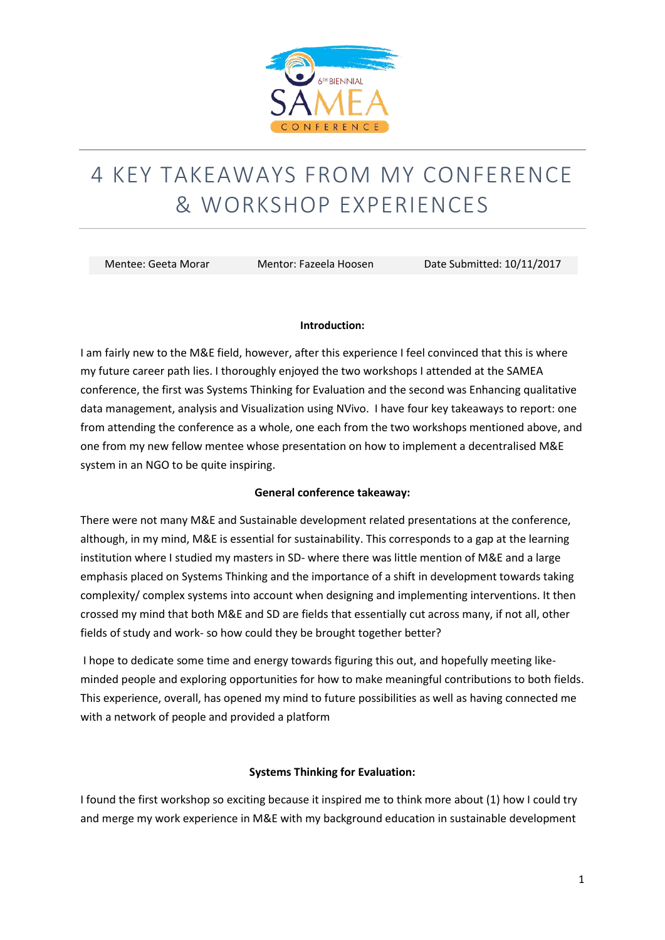

# 4 KEY TAKEAWAYS FROM MY CONFERENCE & WORKSHOP EXPERIENCES

Mentee: Geeta Morar Mentor: Fazeela Hoosen Date Submitted: 10/11/2017

### **Introduction:**

I am fairly new to the M&E field, however, after this experience I feel convinced that this is where my future career path lies. I thoroughly enjoyed the two workshops I attended at the SAMEA conference, the first was Systems Thinking for Evaluation and the second was Enhancing qualitative data management, analysis and Visualization using NVivo. I have four key takeaways to report: one from attending the conference as a whole, one each from the two workshops mentioned above, and one from my new fellow mentee whose presentation on how to implement a decentralised M&E system in an NGO to be quite inspiring.

### **General conference takeaway:**

There were not many M&E and Sustainable development related presentations at the conference, although, in my mind, M&E is essential for sustainability. This corresponds to a gap at the learning institution where I studied my masters in SD- where there was little mention of M&E and a large emphasis placed on Systems Thinking and the importance of a shift in development towards taking complexity/ complex systems into account when designing and implementing interventions. It then crossed my mind that both M&E and SD are fields that essentially cut across many, if not all, other fields of study and work- so how could they be brought together better?

I hope to dedicate some time and energy towards figuring this out, and hopefully meeting likeminded people and exploring opportunities for how to make meaningful contributions to both fields. This experience, overall, has opened my mind to future possibilities as well as having connected me with a network of people and provided a platform

# **Systems Thinking for Evaluation:**

I found the first workshop so exciting because it inspired me to think more about (1) how I could try and merge my work experience in M&E with my background education in sustainable development